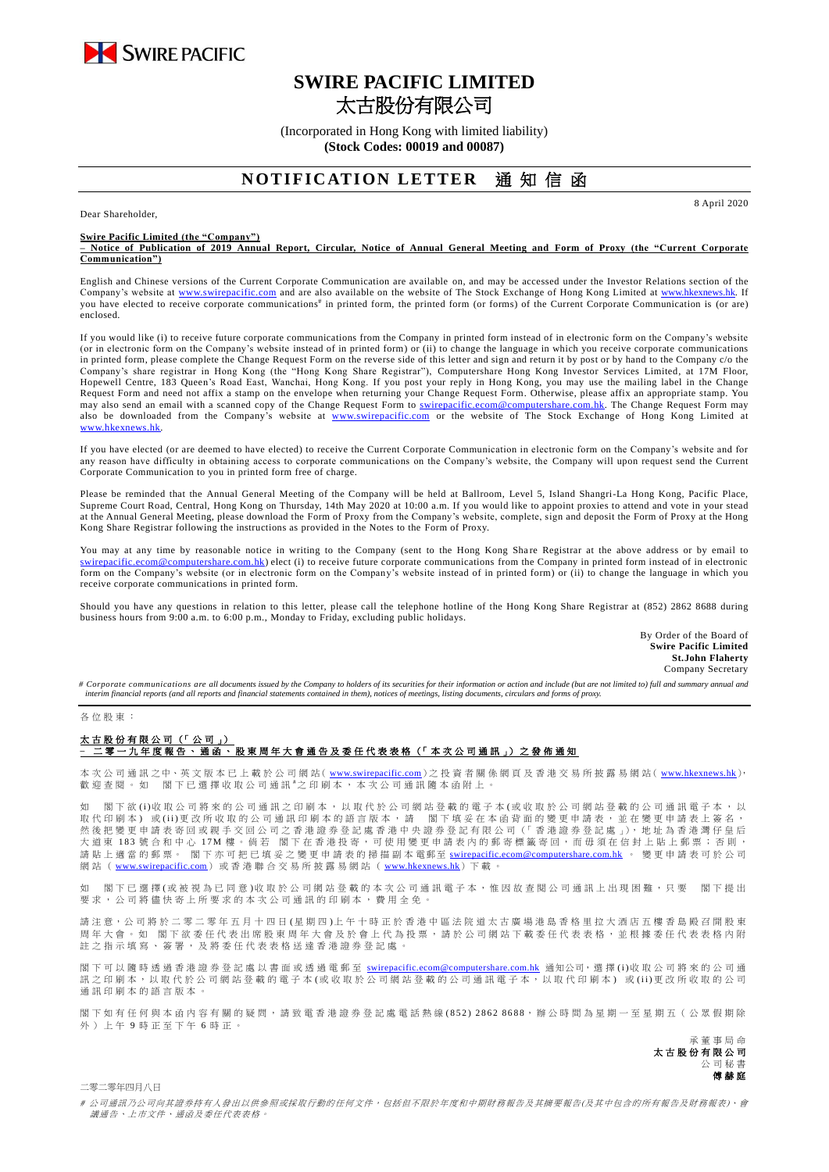

## **SWIRE PACIFIC LIMITED** 太古股份有限公司

(Incorporated in Hong Kong with limited liability) **(Stock Codes: 00019 and 00087)**

## **NOTIFICATION LETTER** 诵 知 信 函

Dear Shareholder,

**Swire Pacific Limited (the "Company")**

**– Notice of Publication of 2019 Annual Report, Circular, Notice of Annual General Meeting and Form of Proxy (the "Current Corporate Communication")**

English and Chinese versions of the Current Corporate Communication are available on, and may be accessed under the Investor Relations section of the Company's website at [www.swirepacific.com](http://www.swirepacific.com/) and are also available on the website of The Stock Exchange of Hong Kong Limited at [www.hkexnews.hk.](http://www.hkexnews.hk/) If you have elected to receive corporate communications<sup>#</sup> in printed form, the printed form (or forms) of the Current Corporate Communication is (or are) enclosed.

If you would like (i) to receive future corporate communications from the Company in printed form instead of in electronic form on the Company's website (or in electronic form on the Company's website instead of in printed form) or (ii) to change the language in which you receive corporate communications in printed form, please complete the Change Request Form on the reverse side of this letter and sign and return it by post or by hand to the Company c/o the Company's share registrar in Hong Kong (the "Hong Kong Share Registrar"), Computershare Hong Kong Investor Services Limited, at 17M Floor, Hopewell Centre, 183 Queen's Road East, Wanchai, Hong Kong. If you post your reply in Hong Kong, you may use the mailing label in the Change Request Form and need not affix a stamp on the envelope when returning your Change Request Form. Otherwise, please affix an appropriate stamp. You may also send an email with a scanned copy of the Change Request Form to *swirepacific.ecom@computershare.com.hk*. The Change Request Form may also be downloaded from the Company's website at [www.swirepacific.com](http://www.swirepacific.com/) or the website of The Stock Exchange of Hong Kong Limited at [www.hkexnews.hk.](http://www.hkexnews.hk/)

If you have elected (or are deemed to have elected) to receive the Current Corporate Communication in electronic form on the Company's website and for any reason have difficulty in obtaining access to corporate communications on the Company's website, the Company will upon request send the Current Corporate Communication to you in printed form free of charge.

Please be reminded that the Annual General Meeting of the Company will be held at Ballroom, Level 5, Island Shangri-La Hong Kong, Pacific Place, Supreme Court Road, Central, Hong Kong on Thursday, 14th May 2020 at 10:00 a.m. If you would like to appoint proxies to attend and vote in your stead at the Annual General Meeting, please download the Form of Proxy from the Company's website, complete, sign and deposit the Form of Proxy at the Hong Kong Share Registrar following the instructions as provided in the Notes to the Form of Proxy.

You may at any time by reasonable notice in writing to the Company (sent to the Hong Kong Share Registrar at the above address or by email to tershare.com.hk) elect (i) to receive future corporate communications from the Company in printed form instead of in electronic form on the Company's website (or in electronic form on the Company's website instead of in printed form) or (ii) to change the language in which you receive corporate communications in printed form.

Should you have any questions in relation to this letter, please call the telephone hotline of the Hong Kong Share Registrar at (852) 2862 8688 during business hours from 9:00 a.m. to 6:00 p.m., Monday to Friday, excluding public holidays.

> By Order of the Board of **Swire Pacific Limited St.John Flaherty** Company Secretary

8 April 2020

# Corporate communications are all documents issued by the Company to holders of its securities for their information or action and include (but are not limited to) full and summary annual and *interim financial reports (and all reports and financial statements contained in them), notices of meetings, listing documents, circulars and forms of proxy.*

## 各 位 股 東 :

## 太古股份有限公司 (「公司」) –<br><sup>二</sup>零 一 九 年 度 報 告 丶 通 函 丶 股 東 周 年 大 會 通 告 及 委 任 代 表 表 格(「 本 次 公 司 通 訊 」)之 發 佈 通 知

本 次 公 司 通 訊 之中、英 文 版 本 已 上 載 於 公 司 網 站( [www.swirepacific.com](http://www.swirepacific.com/)) 之 投 資 者 關 係 網 頁 及 香 港 交 易 所 披 露 易 網 站( [www.hkexnews.hk](http://www.hkexnews.hk/)), 歡 迎 查 閱 。 如 閣 下 已 選 擇 收 取 公 司 通 訊 # 之 印 刷 本 , 本 次 公 司 通 訊 隨 本 函 附 上 。

如 閣下欲 (i)收 取 公 司將 來 的 公 司 通 訊 之 印 刷 本 , 以 取 代 於 公 司 網 的 看 子 本 (或 收 取 於 公 司 網 站 登 載 的 公 司 通 訊 電 子 本 , 以 取代印刷本)或(ii)更改所收取的公司通訊印刷本的語言版本,請 閣下填妥在本函背面的變更申請表,並在變更申請表上簽名, 然後把變更申請表寄回或親手交回公司之香港證券登記處香港中央證券登記有限公司(「香港證券登記處」), 地址為香港灣仔皇后 大 道 東 183 號 合 和 中 心 17M 樓 。 倘 若 閣 下 在 香 港 投 寄 , 可 使 用 變 更 申 請 表 内 的 郵 寄 標 籤 寄 回 , 而 毋 須 在 信 封 上 貼 上 郵 票 ; 否 則 , 請 貼 上 適 當 的 郵 票。 閣下亦可把已填妥之變更申請表的掃描副本 電郵至 [swirepacific.ecom@computershare.com.hk](mailto:swirepacific.ecom@computershare.com.hk) 。 變 更 申請表可於 公 司 網站 ( [www.swirepacific.com](http://www.swirepacific.com/)) 或香港聯合交易所披露易網站 ( [www.hkexnews.hk](http://www.hkexnews.hk/)) 下載。

如 閣 下已 邏 擇( 或 被 視 為 已 同 音 )收 取 於 公 司 綑 站 登 載 的 本 次 引 诵 訊 雷 子 本 , 惟 因 故 杏 関 公 司 诵 訊 上 出 現 困 難 , 只 要 一 閣 下 提 出 要求, 公司將儘 快 寄 上 所 要 求 的 本 次 公 司 通 訊 的 印 刷 本 , 費 用 全 免 。

請注意,公司將於二零二零年五月十四日(星期四)上午十時正於香港中區法院道太古廣場港島香格里拉大酒店五樓香島殿召開股東 周年大會。如 閣下欲委任代表出席股東周年大會及於會上代為投票,請於公司網站下載委任代表表格,並根據委任代表表格內附 註之指示填寫、簽署,及將委任代表表格送達香港證券登記處

閣下可以 隨時 透 過 香 港 證 券 登 記 處 以 書 面 或 透 過 電 郵 至 [swirepacific.ecom@computershare.com.hk](mailto:swirepacific.ecom@computershare.com.hk) 通知公司, 選 擇 (i)收 取 公 司 將 來 的 公 司 通 訊之 印 刷 本, 以 取 代 於 公 司 網 站 登 載 的 電 子 本 ( 或 收 取 於 公 司 網 站 登 載 的 公 司 通 訊 電 子 本, 以 取 代 印 刷 本) 或 (ii) 更 改 所 收 取 的 公 司 通訊印刷本的語言版本

閣下如有任何與本函內容有關的疑問,請致電香港證券登記處電話熱線(852) 2862 8688,辦公時間為星期一至星期五(公眾假期除 外 ) 上 午 9 時 正 至 下 午 6 時正。

> 承董事 局 命 太古股份有限公司 公 司 秘 書 傅赫庭

二零二零年四月八日

# 公司通訊乃公司向其證券持有人發出以供參照或採取行動的任何文件,包括但不限於年度和中期財務報告及其摘要報告(及其中包含的所有報告及財務報表)、會 議通告、上市文件、通函及委任代表表格。